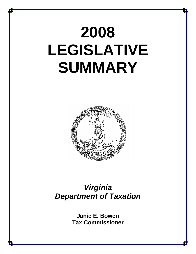# **2008 LEGISLATIVE SUMMARY**



## *Virginia Department of Taxation*

**Janie E. Bowen Tax Commissioner**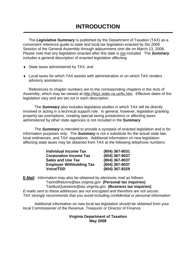The *Legislative Summary* is published by the Department of Taxation (TAX) as a convenient reference guide to state and local tax legislation enacted by the 2008 Session of the General Assembly through adjournment *sine die* on March 13, 2008. Please note that any legislation enacted after this date is not included. The *Summary* includes a general description of enacted legislation affecting:

- ♦ State taxes administered by TAX, and
- ♦ Local taxes for which TAX assists with administration or on which TAX renders advisory assistance.

References to chapter numbers are to the corresponding chapters in the Acts of Assembly, which may be viewed at http://leg1.state.va.us/lis.htm. Effective dates of the legislation vary and are set out in each description.

 The *Summary* also includes legislative studies in which TAX will be directly involved or acting in a technical support role. In general, however, legislation granting property tax exemptions, creating special taxing jurisdictions or affecting taxes administered by other state agencies is not included in the *Summary*.

 The *Summary* is intended to provide a synopsis of enacted legislation and is for information purposes only. The *Summary* is not a substitute for the actual state law, local ordinances, and TAX regulations. Additional information on new legislation affecting state taxes may be obtained from TAX at the following telephone numbers:

| <b>Individual Income Tax</b>    | (804) 367-8031 |
|---------------------------------|----------------|
| <b>Corporation Income Tax</b>   | (804) 367-8037 |
| <b>Sales and Use Tax</b>        | (804) 367-8037 |
| <b>Employer Withholding Tax</b> | (804) 367-8037 |
| <b>Voice/TDD</b>                | (804) 367-8329 |

**E-Mail**: Information may also be obtained by electronic mail as follows: TaxIndReturns@tax.virginia.gov **(Personal tax inquiries)** TaxBusQuestions@tax.virginia.gov **(Business tax inquiries)**  *E-mails sent to these addresses are not encrypted and therefore are not secure. TAX strongly recommends that you avoid including confidential or personal information.*

 Additional information on new local tax legislation should be obtained from your local Commissioner of the Revenue, Treasurer or Director of Finance.

## **Virginia Department of Taxation May 2008**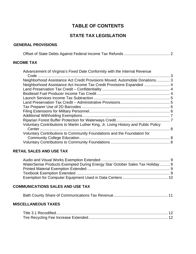## **TABLE OF CONTENTS**

## **STATE TAX LEGISLATION**

## **GENERAL PROVISIONS**

|--|--|--|--|--|

## **INCOME TAX**

| Advancement of Virginia's Fixed Date Conformity with the Internal Revenue           |  |
|-------------------------------------------------------------------------------------|--|
|                                                                                     |  |
| Neighborhood Assistance Act Credit Provisions Moved; Automobile Donations 3         |  |
|                                                                                     |  |
|                                                                                     |  |
|                                                                                     |  |
|                                                                                     |  |
|                                                                                     |  |
|                                                                                     |  |
|                                                                                     |  |
|                                                                                     |  |
|                                                                                     |  |
| Voluntary Contributions to Martin Luther King, Jr. Living History and Public Policy |  |
| . 8                                                                                 |  |
| Voluntary Contributions to Community Foundations and the Foundation for             |  |
|                                                                                     |  |
|                                                                                     |  |
|                                                                                     |  |

## **RETAIL SALES AND USE TAX**

| WaterSense Products Exempted During Energy Star October Sales Tax Holiday  9 |  |
|------------------------------------------------------------------------------|--|
|                                                                              |  |
|                                                                              |  |
|                                                                              |  |

## **COMMUNICATIONS SALES AND USE TAX**

|--|--|--|--|

## **MISCELLANEOUS TAXES**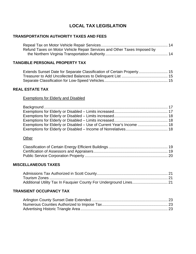## **LOCAL TAX LEGISLATION**

## **TRANSPORTATION AUTHORITY TAXES AND FEES**

| Refund Taxes on Motor Vehicle Repair Services and Other Taxes Imposed by |  |
|--------------------------------------------------------------------------|--|
|                                                                          |  |

## **TANGIBLE PERSONAL PROPERTY TAX**

| Extends Sunset Date for Separate Classification of Certain Property 15 |  |
|------------------------------------------------------------------------|--|
|                                                                        |  |
|                                                                        |  |

## **REAL ESTATE TAX**

## Exemptions for Elderly and Disabled

| Exemptions for Elderly or Disabled – Use of Current Year's Income  18 |  |
|-----------------------------------------------------------------------|--|
|                                                                       |  |

## **Other**

## **MISCELLANEOUS TAXES**

| Additional Utility Tax In Fauquier County For Underground Lines 21 |  |
|--------------------------------------------------------------------|--|

## **TRANSIENT OCCUPANCY TAX**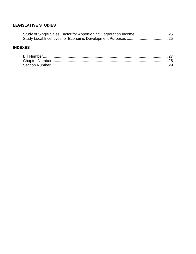## **LEGISLATIVE STUDIES**

| Study of Single Sales Factor for Apportioning Corporation Income  25 |
|----------------------------------------------------------------------|
|                                                                      |

## **INDEXES**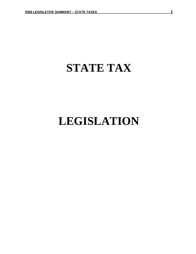## **STATE TAX**

## **LEGISLATION**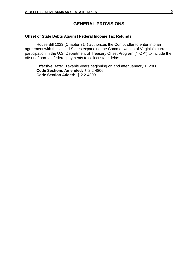## **GENERAL PROVISIONS**

### **Offset of State Debts Against Federal Income Tax Refunds**

House Bill 1023 (Chapter 314) authorizes the Comptroller to enter into an agreement with the United States expanding the Commonwealth of Virginia's current participation in the U.S. Department of Treasury Offset Program ("TOP") to include the offset of non-tax federal payments to collect state debts.

**Effective Date:** Taxable years beginning on and after January 1, 2008 **Code Sections Amended:** § 2.2-4806 **Code Section Added:** § 2.2-4809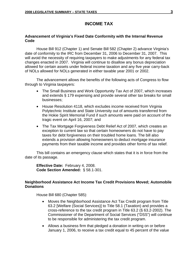## **INCOME TAX**

## **Advancement of Virginia's Fixed Date Conformity with the Internal Revenue Code**

House Bill 912 (Chapter 1) and Senate Bill 582 (Chapter 2) advance Virginia's date of conformity to the IRC from December 31, 2006 to December 31, 2007. This will avoid the necessity of requiring taxpayers to make adjustments for any federal tax changes enacted in 2007. Virginia will continue to disallow any bonus depreciation allowed for certain assets under federal income taxation and any five year carry-back of NOLs allowed for NOLs generated in either taxable year 2001 or 2002.

The advancement allows the benefits of the following acts of Congress to flow through to Virginia taxpayers:

- The Small Business and Work Opportunity Tax Act of 2007, which increases and extends § 179 expensing and provide several other tax breaks for small businesses;
- House Resolution 4118, which excludes income received from Virginia Polytechnic Institute and State University out of amounts transferred from the Hokie Spirit Memorial Fund if such amounts were paid on account of the tragic event on April 16, 2007; and
- The Tax Mortgage Forgiveness Debt Relief Act of 2007, which creates an exception to current law so that certain homeowners do not have to pay taxes for debt forgiveness on their troubled home loans. The bill also extends a provision allowing homeowners to deduct mortgage insurance payments from their taxable income and provides other forms of tax relief.

This bill contains an emergency clause which states that it is in force from the date of its passage.

**Effective Date:** February 4, 2008. **Code Section Amended:** § 58.1-301.

### **Neighborhood Assistance Act Income Tax Credit Provisions Moved; Automobile Donations**

House Bill 680 (Chapter 585):

- Moves the Neighborhood Assistance Act Tax Credit program from Title 63.2 [Welfare (Social Services)] to Title 58.1 (Taxation) and provides a cross-reference to the tax credit program in Title 63.2 (§ 63.2-2002). The Commissioner of the Department of Social Services ("DSS") will continue to be responsible for administering the tax credit program.
- Allows a business firm that pledged a donation in writing on or before January 1, 2006, to receive a tax credit equal to 45 percent of the value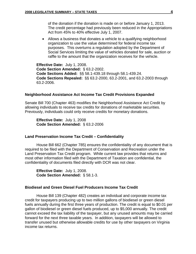of the donation if the donation is made on or before January 1, 2013. The credit percentage had previously been reduced in the Appropriations Act from 45% to 40% effective July 1, 2007.

• Allows a business that donates a vehicle to a qualifying neighborhood organization to use the value determined for federal income tax purposes. This overturns a regulation adopted by the Department of Social Services limiting the value of vehicles donated for sale, auction or raffle to the amount that the organization receives for the vehicle.

**Effective Date:** July 1, 2008. **Code Section Amended:** § 63.2-2002. **Code Sections Added:** §§ 58.1-439.18 through 58.1-439.24. **Code Sections Repealed:** §§ 63.2-2000, 63.2-2001, and 63.2-2003 through 63.2-2006.

#### **Neighborhood Assistance Act Income Tax Credit Provisions Expanded**

Senate Bill 700 (Chapter 463) modifies the Neighborhood Assistance Act Credit by allowing individuals to receive tax credits for donations of marketable securities. Previously, individuals could only receive credits for monetary donations.

**Effective Date:** July 1, 2008 **Code Section Amended:** § 63.2-2006

#### **Land Preservation Income Tax Credit – Confidentiality**

House Bill 662 (Chapter 785) ensures the confidentiality of any document that is required to be filed with the Department of Conservation and Recreation under the Land Preservation Tax Credit program. While current law provides that returns and most other information filed with the Department of Taxation are confidential, the confidentiality of documents filed directly with DCR was not clear.

**Effective Date:** July 1, 2008. **Code Section Amended:** § 58.1-3.

#### **Biodiesel and Green Diesel Fuel Producers Income Tax Credit**

House Bill 139 (Chapter 482) creates an individual and corporate income tax credit for taxpayers producing up to two million gallons of biodiesel or green diesel fuels annually during the first three years of production. The credit is equal to \$0.01 per gallon of biodiesel or green diesel fuels produced, up to \$5,000 annually. The credit cannot exceed the tax liability of the taxpayer, but any unused amounts may be carried forward for the next three taxable years. In addition, taxpayers will be allowed to transfer unused but otherwise allowable credits for use by other taxpayers on Virginia income tax returns.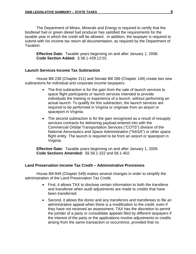The Department of Mines, Minerals and Energy is required to certify that the biodiesel fuel or green diesel fuel producer has satisfied the requirements for the taxable year in which the credit will be allowed. In addition, the taxpayer is required to submit with his income tax return all documentation, as required by the Department of Taxation.

**Effective Date:** Taxable years beginning on and after January 1, 2008. **Code Section Added:** § 58.1-439.12:02.

## **Launch Services Income Tax Subtraction**

House Bill 238 (Chapter 211) and Senate Bill 286 (Chapter 149) create two new subtractions for individual and corporate income taxpayers.

- The first subtraction is for the gain from the sale of launch services to space flight participants or launch services intended to provide individuals the training or experience of a launch, without performing an actual launch. To qualify for this subtraction, the launch services are required to be performed in Virginia or originate from an airport or spaceport in Virginia.
- The second subtraction is for the gain recognized as a result of resupply services contracts for delivering payload entered into with the Commercial Orbital Transportation Services ("COTS") division of the National Aeronautics and Space Administration ("NASA") or other space flight entity. The launch is required to be from an airport or spaceport in Virginia.

**Effective Date:** Taxable years beginning on and after January 1, 2009. **Code Sections Amended:** §§ 58.1-322 and 58.1-402.

## **Land Preservation Income Tax Credit – Administrative Provisions**

House Bill 849 (Chapter 549) makes several changes in order to simplify the administration of the Land Preservation Tax Credit.

- First, it allows TAX to disclose certain information to both the transferor and transferee when audit adjustments are made to credits that have been transferred.
- Second, it allows the donor and any transferors and transferees to file an administrative appeal when there is a modification to the credit, even if they have not received an assessment. TAX has the discretion to permit the joinder of a party or consolidate appeals filed by different taxpayers if the interest of the party or the applications involve adjustments to credits arising from the same transaction or occurrence, provided that no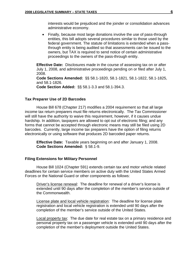interests would be prejudiced and the joinder or consolidation advances administrative economy.

• Finally, because most large donations involve the use of pass-through entities, this bill adopts several procedures similar to those used by the federal government. The statute of limitations is extended when a passthrough entity is being audited so that assessments can be issued to the owners, but TAX is required to send notice of certain administrative proceedings to the owners of the pass-through entity.

**Effective Date:** Disclosures made in the course of assessing tax on or after July 1, 2008, and administrative proceedings pending on or filed after July 1, 2008. **Code Sections Amended:** §§ 58.1-1820, 58.1-1821, 58.1-1822, 58.1-1825, and 58.1-1826.

**Code Section Added:** §§ 58.1-3.3 and 58.1-394.3.

#### **Tax Preparer Use of 2D Barcodes**

House Bill 678 (Chapter 217) modifies a 2004 requirement so that all large income tax return preparers must file returns electronically. The Tax Commissioner will still have the authority to waive this requirement, however, if it causes undue hardship. In addition, taxpayers are allowed to opt out of electronic filing; and any forms that cannot be accepted through electronic means may still be filed using 2D barcodes. Currently, large income tax preparers have the option of filing returns electronically or using software that produces 2D barcoded paper returns.

**Effective Date:** Taxable years beginning on and after January 1, 2008. **Code Sections Amended:** § 58.1-9.

#### **Filing Extensions for Military Personnel**

House Bill 1024 (Chapter 591) extends certain tax and motor vehicle related deadlines for certain service members on active duty with the United States Armed Forces or the National Guard or other components as follows:

Driver's license renewal: The deadline for renewal of a driver's license is extended until 90 days after the completion of the member's service outside of the Commonwealth.

License plate and local vehicle registration: The deadline for license plate registration and local vehicle registration is extended until 90 days after the completion of the member's service outside of the United States.

Local property tax: The due date for real estate tax on a primary residence and personal property tax on a passenger vehicle is extended until 90 days after the completion of the member's deployment outside the United States.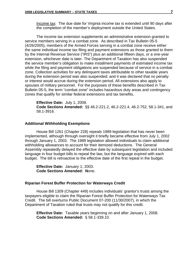Income tax: The due date for Virginia income tax is extended until 90 days after the completion of the member's deployment outside the United States.

The income tax extension supplements an administrative extension granted to service members serving in a combat zone. As described in Tax Bulletin 05-5 (4/26/2005), members of the Armed Forces serving in a combat zone receive either the same individual income tax filing and payment extensions as those granted to them by the Internal Revenue Service ("IRS") plus an additional fifteen days, *or* a one-year extension, whichever date is later. The Department of Taxation has also suspended the service member's obligation to make installment payments of estimated income tax while the filing and payment obligations are suspended because of service in a combat zone. Collection activities for any delinquent taxes attributable to other taxable years during the extension period was also suspended; and it was declared that no penalty or interest would accrue during the extension period. All extensions also apply to spouses of military personnel. For the purposes of these benefits described in Tax Bulletin 05-5, the term "combat zone" includes hazardous duty areas and contingency zones that qualify for similar federal extensions and tax benefits.

**Effective Date:** July 1, 2008. **Code Sections Amended:** §§ 46.2-221.2, 46.2-221.4, 46.2-752, 58.1-341, and 58.1-3916.

#### **Additional Withholding Exemptions**

House Bill 1261 (Chapter 228) repeals 1989 legislation that has never been implemented, although through oversight it briefly became effective from July 1, 2002 through January 1, 2003. The 1989 legislation allowed individuals to claim additional withholding allowances to account for their itemized deductions. The General Assembly repeatedly delayed the effective date by subsequent legislation and included language in four budget bills to repeal the law, but the language expired with each budget. The bill is retroactive to the effective date of the first repeal in the budget.

**Effective Date:** January 1, 2003. **Code Sections Amended: N**one.

#### **Riparian Forest Buffer Protection for Waterways Credit**

House Bill 1309 (Chapter 449) includes individuals' grantor's trusts among the taxpayers eligible to claim the Riparian Forest Buffer Protection for Waterways Tax Credit. The bill overturns Public Document 07-200 (11/30/2007), in which the Department of Taxation ruled that trusts may not qualify for this credit.

**Effective Date:** Taxable years beginning on and after January 1, 2008. **Code Sections Amended:** § 58.1-339.10.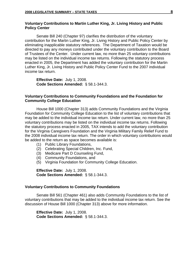### **Voluntary Contributions to Martin Luther King, Jr. Living History and Public Policy Center**

Senate Bill 240 (Chapter 97) clarifies the distribution of the voluntary contribution for the Martin Luther King, Jr. Living History and Public Policy Center by eliminating inapplicable statutory references. The Department of Taxation would be directed to pay any moneys contributed under the voluntary contribution to the Board of Trustees of the Center. Under current law, no more than 25 voluntary contributions may be listed on the individual income tax returns. Following the statutory process enacted in 2005, the Department has added the voluntary contribution for the Martin Luther King, Jr. Living History and Public Policy Center Fund to the 2007 individual income tax return.

**Effective Date:** July 1, 2008. **Code Sections Amended:** § 58.1-344.3.

### **Voluntary Contributions to Community Foundations and the Foundation for Community College Education**

House Bill 1000 (Chapter 313) adds Community Foundations and the Virginia Foundation for Community College Education to the list of voluntary contributions that may be added to the individual income tax return. Under current law, no more than 25 voluntary contributions may be listed on the individual income tax returns. Following the statutory process enacted in 2005, TAX intends to add the voluntary contribution for the Virginia Caregivers Foundation and the Virginia Military Family Relief Fund to the 2008 individual income tax return. The order in which voluntary contributions would be added to the return as space becomes available is:

- (1) Public Library Foundations,
- (2) Celebrating Special Children, Inc. Fund,
- (3) Medicare Part D Counseling Fund,
- (4) Community Foundations, and
- (5) Virginia Foundation for Community College Education.

**Effective Date:** July 1, 2008. **Code Sections Amended:** § 58.1-344.3.

#### **Voluntary Contributions to Community Foundations**

Senate Bill 561 (Chapter 461) also adds Community Foundations to the list of voluntary contributions that may be added to the individual income tax return. See the discussion of House Bill 1000 (Chapter 313) above for more information.

**Effective Date:** July 1, 2008. **Code Sections Amended:** § 58.1-344.3.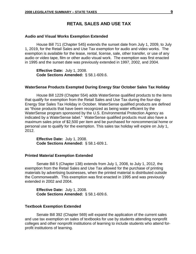## **RETAIL SALES AND USE TAX**

#### **Audio and Visual Works Exemption Extended**

House Bill 711 (Chapter 545) extends the sunset date from July 1, 2009, to July 1, 2019, for the Retail Sales and Use Tax exemption for audio and video works. The exemption is available for the lease, rental, license, sale, other transfer, or use of any audio or video tape, film or other audio visual work. The exemption was first enacted in 1995 and the sunset date was previously extended in 1997, 2002, and 2004.

**Effective Date:** July 1, 2008. **Code Sections Amended:** § 58.1-609.6.

#### **WaterSense Products Exempted During Energy Star October Sales Tax Holiday**

House Bill 1229 (Chapter 554) adds WaterSense qualified products to the items that qualify for exemption from the Retail Sales and Use Tax during the four-day Energy Star Sales Tax Holiday in October. WaterSense qualified products are defined as "those products that have been recognized as being water efficient by the WaterSense program sponsored by the U.S. Environmental Protection Agency as indicated by a WaterSense label." WaterSense qualified products must also have a maximum sales price of \$2,500 per item and be purchased for noncommercial home or personal use to qualify for the exemption. This sales tax holiday will expire on July 1, 2012.

**Effective Date:** July 1, 2008. **Code Sections Amended:** § 58.1-609.1.

### **Printed Material Exemption Extended**

Senate Bill 5 (Chapter 138) extends from July 1, 2008, to July 1, 2012, the exemption from the Retail Sales and Use Tax allowed for the purchase of printing materials by advertising businesses, when the printed material is distributed outside the Commonwealth. This exemption was first enacted in 1995 and was previously extended in 2002 and 2004.

**Effective Date:** July 1, 2008. **Code Sections Amended:** § 58.1-609.6.

#### **Textbook Exemption Extended**

Senate Bill 392 (Chapter 569) will expand the application of the current sales and use tax exemption on sales of textbooks for use by students attending nonprofit colleges and other nonprofit institutions of learning to include students who attend forprofit institutions of learning.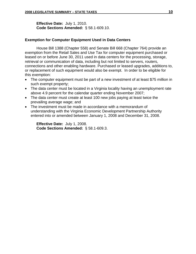**Effective Date:** July 1, 2010. **Code Sections Amended:** § 58.1-609.10.

### **Exemption for Computer Equipment Used in Data Centers**

House Bill 1388 (Chapter 558) and Senate Bill 668 (Chapter 764) provide an exemption from the Retail Sales and Use Tax for computer equipment purchased or leased on or before June 30, 2011 used in data centers for the processing, storage, retrieval or communication of data, including but not limited to servers, routers, connections and other enabling hardware. Purchased or leased upgrades, additions to, or replacement of such equipment would also be exempt. In order to be eligible for this exemption:

- The computer equipment must be part of a new investment of at least \$75 million in such exempt property;
- The data center must be located in a Virginia locality having an unemployment rate above 4.9 percent for the calendar quarter ending November 2007;
- The data center must create at least 100 new jobs paying at least twice the prevailing average wage; and
- The investment must be made in accordance with a memorandum of understanding with the Virginia Economic Development Partnership Authority entered into or amended between January 1, 2008 and December 31, 2008.

**Effective Date:** July 1, 2008. **Code Sections Amended:** § 58.1-609.3.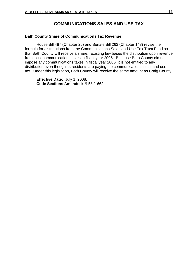## **COMMUNICATIONS SALES AND USE TAX**

#### **Bath County Share of Communications Tax Revenue**

House Bill 487 (Chapter 25) and Senate Bill 262 (Chapter 148) revise the formula for distributions from the Communications Sales and Use Tax Trust Fund so that Bath County will receive a share. Existing law bases the distribution upon revenue from local communications taxes in fiscal year 2006. Because Bath County did not impose any communications taxes in fiscal year 2006, it is not entitled to any distribution even though its residents are paying the communications sales and use tax. Under this legislation, Bath County will receive the same amount as Craig County.

**Effective Date:** July 1, 2008. **Code Sections Amended:** § 58.1-662.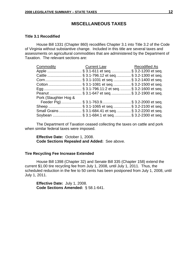## **MISCELLANEOUS TAXES**

### **Title 3.1 Recodified**

House Bill 1331 (Chapter 860) recodifies Chapter 3.1 into Title 3.2 of the Code of Virginia without substantive change. Included in this title are several taxes and assessments on agricultural commodities that are administered by the Department of Taxation. The relevant sections are:

| <u>Commodity</u>      | <b>Current Law Becodified As</b>                       |  |
|-----------------------|--------------------------------------------------------|--|
|                       | Apple  § 3.1-611 et seq § 3.2-1200 et seq.             |  |
|                       | Cattle  § 3.1-796.12 et seq. § 3.2-1300 et seq.        |  |
|                       | Corn § 3.1-1031 et seq§ 3.2-1400 et seq.               |  |
|                       | Cotton  § 3.1-1081 et seq. § 3.2-1500 et seq.          |  |
|                       |                                                        |  |
|                       | Peanut  § 3.1-647 et seq.  § 3.2-1900 et seq.          |  |
| Pork (Slaughter Hog & |                                                        |  |
|                       | Feeder Pig)  § 3.1-763.9 § 3.2-2000 et seq.            |  |
|                       | Sheep  § 3.1-1065 et seq.  § 3.2-2100 et seq.          |  |
|                       | Small Grains  § 3.1-684.41 et seq.  § 3.2-2200 et seq. |  |
|                       | Soybean  § 3.1-684.1 et seq.  § 3.2-2300 et seq.       |  |

The Department of Taxation ceased collecting the taxes on cattle and pork when similar federal taxes were imposed.

**Effective Date:** October 1, 2008. **Code Sections Repealed and Added:** See above.

#### **Tire Recycling Fee Increase Extended**

House Bill 1398 (Chapter 32) and Senate Bill 335 (Chapter 158) extend the current \$1.00 tire recycling fee from July 1, 2008, until July 1, 2011. Thus, the scheduled reduction in the fee to 50 cents has been postponed from July 1, 2008, until July 1, 2011.

**Effective Date:** July 1, 2008. **Code Sections Amended:** § 58.1-641.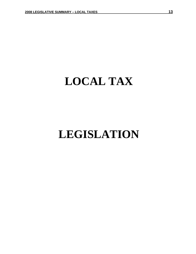## **LOCAL TAX**

## **LEGISLATION**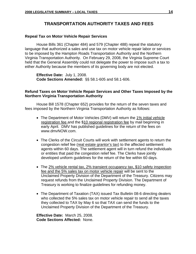## **TRANSPORTATION AUTHORITY TAXES AND FEES**

#### **Repeal Tax on Motor Vehicle Repair Services**

House Bills 361 (Chapter 484) and 579 (Chapter 488) repeal the statutory language that authorized a sales and use tax on motor vehicle repair labor or services to be imposed by the Hampton Roads Transportation Authority and the Northern Virginia Transportation Authority. On February 29, 2008, the Virginia Supreme Court held that the General Assembly could not delegate the power to impose such a tax to either Authority because the members of its governing body are not elected.

**Effective Date:** July 1, 2008. **Code Sections Amended:** §§ 58.1-605 and 58.1-606.

### **Refund Taxes on Motor Vehicle Repair Services and Other Taxes Imposed by the Northern Virginia Transportation Authority**

House Bill 1578 (Chapter 652) provides for the return of the seven taxes and fees imposed by the Northern Virginia Transportation Authority as follows:

- The Department of Motor Vehicles (DMV) will return the 1% initial vehicle registration fee and the \$10 regional registration fee by mail beginning in early April. DMV has published guidelines for the return of the fees on www.dmvNOW.com.
- The Clerks of the Circuit Courts will work with settlement agents to return the congestion relief fee (real estate grantor's tax) to the affected settlement agents within 60 days. The settlement agent will in turn refund the individuals or entities that paid the congestion relief fee. The Clerks have jointly developed uniform guidelines for the return of the fee within 60 days.
- The 2% vehicle rental tax, 2% transient occupancy tax, \$10 safety inspection fee and the 5% sales tax on motor vehicle repair will be sent to the Unclaimed Property Division of the Department of the Treasury. Citizens may request refunds from the Unclaimed Property Division. The Department of Treasury is working to finalize guidelines for refunding money.
- The Department of Taxation (TAX) issued Tax Bulletin 08-6 directing dealers who collected the 5% sales tax on motor vehicle repair to send all the taxes they collected to TAX by May 6 so that TAX can send the funds to the Unclaimed Property Division of the Department of the Treasury.

**Effective Date:** March 25, 2008. **Code Sections Affected:** None.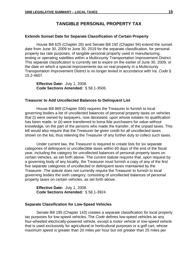## **TANGIBLE PERSONAL PROPERTY TAX**

#### **Extends Sunset Date for Separate Classification of Certain Property**

House Bill 625 (Chapter 26) and Senate Bill 192 (Chapter 94) extend the sunset date from June 30, 2009 to June 30, 2019 for the separate classification, for personal property tax rate purposes, of tangible personal property used in manufacturing, testing or operating satellites within a Multicounty Transportation Improvement District. This separate classification is currently set to expire on the earlier of June 30, 2009, or the date on which a special improvements tax on real property in a Multicounty Transportation Improvement District is no longer levied in accordance with *Va. Code* § 15.2-4607.

**Effective Date:** July 1, 2008. **Code Sections Amended:** § 58.1-3506.

#### **Treasurer to Add Uncollected Balances to Delinquent List**

House Bill 869 (Chapter 550) requires the Treasurer to furnish to local governing bodies a list of uncollected balances of personal property taxes on vehicles that (i) were owned by taxpayers, now deceased, upon whose estates no qualification has been made, or (ii) were transferred to bona fide purchasers for value without knowledge, on the part of the persons who made the transfer, of the unpaid taxes. This bill would also require that the Treasurer be given credit for all uncollected taxes shown on the list, thus relieving the Treasurer of any further duty to collect such taxes.

Under current law, the Treasurer is required to create lists for six separate categories of delinquent or uncollectible taxes within 60 days of the end of the fiscal year, including the category for uncollected balances of personal property taxes on certain vehicles, as set forth above. The current statute requires that, upon request by a governing body of any locality, the Treasurer must furnish a copy of any of the first five separate categories of uncollected or delinquent taxes maintained by the Treasurer. The statute does not currently require the Treasurer to furnish to local governing bodies the sixth category, consisting of uncollected balances of personal property taxes on certain vehicles, as set forth above.

**Effective Date:** July 1, 2008. **Code Sections Amended:** § 58.1-3924.

#### **Separate Classification for Low-Speed Vehicles**

Senate Bill 195 (Chapter 143) creates a separate classification for local property tax purposes for low-speed vehicles. The *Code* defines low-speed vehicles as any four-wheeled electrically-powered vehicle, except a motor vehicle or low-speed vehicle that is used exclusively for agricultural or horticultural purposes or a golf cart, whose maximum speed is greater than 20 miles per hour but not greater than 25 miles per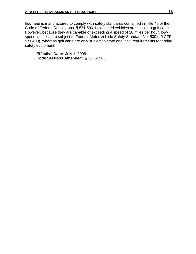hour and is manufactured to comply with safety standards contained in Title 49 of the Code of Federal Regulations, § 571.500. Low-speed vehicles are similar to golf carts. However, because they are capable of exceeding a speed of 20 miles per hour, lowspeed vehicles are subject to Federal Motor Vehicle Safety Standard No. 500 (49 CFR 571.400), whereas golf carts are only subject to state and local requirements regarding safety equipment.

**Effective Date:** July 1, 2008. **Code Sections Amended:** § 58.1-3506.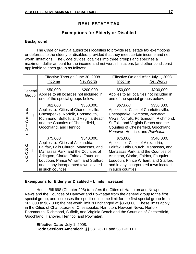## **REAL ESTATE TAX**

## **Exemptions for Elderly or Disabled**

## **Background**

The *Code of Virginia* authorizes localities to provide real estate tax exemptions or deferrals to the elderly or disabled, provided that they meet certain income and net worth limitations. The *Code* divides localities into three groups and specifies a maximum dollar amount for the income and net worth limitations (and other conditions) applicable to each group as follows:

|                  |   | Effective Through June 30, 2008<br>Net Worth<br>Income                                                                                                                                                                                                                                    | Effective On and After July 1, 2008<br>Net Worth<br>Income                                                                                                                                                                                                                                |
|------------------|---|-------------------------------------------------------------------------------------------------------------------------------------------------------------------------------------------------------------------------------------------------------------------------------------------|-------------------------------------------------------------------------------------------------------------------------------------------------------------------------------------------------------------------------------------------------------------------------------------------|
| General<br>Group |   | \$50,000<br>\$200,000<br>Applies to all localities not included in<br>one of the special groups below.                                                                                                                                                                                    | \$50,000<br>\$200,000<br>Applies to all localities not included in<br>one of the special groups below.                                                                                                                                                                                    |
| S<br>P<br>Ε<br>А |   | \$350,000.<br>\$62,000<br>Applies to: Cities of Charlottesville,<br>Chesapeake, Norfolk, Portsmouth,<br>Richmond, Suffolk, and Virginia Beach<br>and the Counties of Chesterfield,<br>Goochland, and Henrico.                                                                             | \$350,000.<br>\$67,000<br>Applies to: Cities of Charlottesville,<br>Chesapeake, Hampton, Newport<br>News, Norfolk, Portsmouth, Richmond,<br>Suffolk, and Virginia Beach and the<br>Counties of Chesterfield, Goochland,<br>Hanover, Henrico, and Powhatan.                                |
| G<br>R<br>P      | Ш | \$540,000.<br>\$75,000<br>Applies to: Cities of Alexandria,<br>Fairfax, Falls Church, Manassas, and<br>Manassas Park, and the Counties of<br>Arlington, Clarke, Fairfax, Fauquier,<br>Loudoun, Prince William, and Stafford,<br>and in any incorporated town located<br>in such counties. | \$540,000.<br>\$75,000<br>Applies to: Cities of Alexandria,<br>Fairfax, Falls Church, Manassas, and<br>Manassas Park, and the Counties of<br>Arlington, Clarke, Fairfax, Fauquier,<br>Loudoun, Prince William, and Stafford,<br>and in any incorporated town located<br>in such counties. |

## **Exemptions for Elderly or Disabled – Limits increased**

House Bill 698 (Chapter 298) transfers the Cities of Hampton and Newport News and the Counties of Hanover and Powhatan from the general group to the first special group, and increases the specified income limit for the first special group from \$62,000 to \$67,000; the net worth limit is unchanged at \$350,000. These limits apply in the Cities of Charlottesville, Chesapeake, Hampton, Newport News, Norfolk, Portsmouth, Richmond, Suffolk, and Virginia Beach and the Counties of Chesterfield, Goochland, Hanover, Henrico, and Powhatan.

**Effective Date:** July 1, 2008. **Code Sections Amended:** §§ 58.1-3211 and 58.1-3211.1.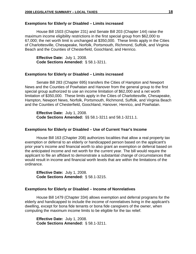#### **Exemptions for Elderly or Disabled – Limits increased**

House Bill 1503 (Chapter 231) and Senate Bill 203 (Chapter 144) raise the maximum income eligibility restrictions in the first special group from \$62,000 to 67,000; the net worth limit is unchanged at \$350,000. These limits apply in the Cities of Charlottesville, Chesapeake, Norfolk, Portsmouth, Richmond, Suffolk, and Virginia Beach and the Counties of Chesterfield, Goochland, and Henrico.

**Effective Date:** July 1, 2008. **Code Sections Amended:** § 58.1-3211.

#### **Exemptions for Elderly or Disabled – Limits increased**

Senate Bill 283 (Chapter 695) transfers the Cities of Hampton and Newport News and the Counties of Powhatan and Hanover from the general group to the first special group authorized to use an income limitation of \$62,000 and a net worth limitation of \$350,000. These limits apply in the Cities of Charlottesville, Chesapeake, Hampton, Newport News, Norfolk, Portsmouth, Richmond, Suffolk, and Virginia Beach and the Counties of Chesterfield, Goochland, Hanover, Henrico, and Powhatan.

**Effective Date:** July 1, 2008. **Code Sections Amended:** §§ 58.1-3211 and 58.1-3211.1.

#### **Exemptions for Elderly or Disabled – Use of Current Year's Income**

House Bill 163 (Chapter 208) authorizes localities that allow a real property tax exemption or deferral to an elderly or handicapped person based on the applicant's prior year's income and financial worth to also grant an exemption or deferral based on the anticipated income and net worth for the current year. The bill would require the applicant to file an affidavit to demonstrate a substantial change of circumstances that would result in income and financial worth levels that are within the limitations of the ordinance.

**Effective Date:** July 1, 2008. **Code Sections Amended:** § 58.1-3215.

#### **Exemptions for Elderly or Disabled – Income of Nonrelatives**

House Bill 1479 (Chapter 334) allows exemption and deferral programs for the elderly and handicapped to include the income of nonrelatives living in the applicant's dwelling, except for bona fide tenants or bona fide caregivers of the owner, when computing the maximum income limits to be eligible for the tax relief.

**Effective Date:** July 1, 2008. **Code Sections Amended:** § 58.1-3211.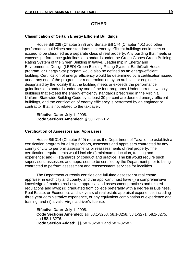## **OTHER**

## **Classification of Certain Energy Efficient Buildings**

House Bill 239 (Chapter 288) and Senate Bill 174 (Chapter 401) add other performance guidelines and standards that energy efficient buildings could meet or exceed to be classified as a separate class of real property. Any building that meets or exceeds performance guidelines or standards under the Green Globes Green Building Rating System of the Green Building Initiative, Leadership in Energy and Environmental Design (LEED) Green Building Rating System, EarthCraft House program, or Energy Star program would also be defined as an energy-efficient building. Certification of energy efficiency would be determined by a certification issued under any one of the programs or a determination by an architect or engineer designated by the locality that the building meets or exceeds the performance guidelines or standards under any one of the four programs. Under current law, only buildings that exceed the energy efficiency standards prescribed in the Virginia Uniform Statewide Building Code by at least 30 percent are deemed energy-efficient buildings, and the certification of energy efficiency is performed by an engineer or contractor that is not related to the taxpayer.

**Effective Date:** July 1, 2008. **Code Sections Amended:** § 58.1-3221.2.

### **Certification of Assessors and Appraisers**

House Bill 314 (Chapter 540) requires the Department of Taxation to establish a certification program for all supervisors, assessors and appraisers contracted by any county or city to perform assessments or reassessments of real property. The certification requirements would include (i) minimum education, training and experience; and (ii) standards of conduct and practice. The bill would require such supervisors, assessors and appraisers to be certified by the Department prior to being contracted to perform assessment and reassessment services for localities.

The Department currently certifies one full-time assessor or real estate appraiser in each city and county, and the applicant must have (i) a comprehensive knowledge of modern real estate appraisal and assessment practices and related regulations and laws; (ii) graduated from college preferably with a degree in Business, Real Estate, or Economics and six years of real estate appraisal experience, including three year administrative experience, or any equivalent combination of experience and training; and (ii) a valid Virginia driver's license.

**Effective Date:** July 1, 2008. **Code Sections Amended:** §§ 58.1-3253, 58.1-3258, 58.1-3271, 58.1-3275, and 58.1-3276. **Code Section Added:** §§ 58.1-3258.1 and 58.1-3258.2.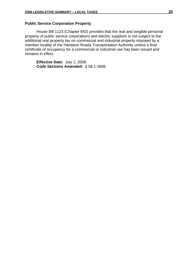### **Public Service Corporation Property**

House Bill 1123 (Chapter 642) provides that the real and tangible personal property of public service corporations and electric suppliers is not subject to the additional real property tax on commercial and industrial property imposed by a member locality of the Hampton Roads Transportation Authority unless a final certificate of occupancy for a commercial or industrial use has been issued and remains in effect.

**Effective Date:** July 1, 2008. **Code Sections Amended:** § 58.1-2606.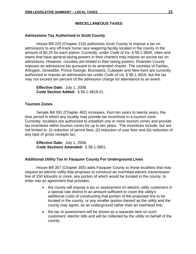## **MISCELLANEOUS TAXES**

#### **Admissions Tax Authorized in Scott County**

House Bill 220 (Chapter 210) authorizes Scott County to impose a tax on admissions to any off-track horse race wagering facility located in the county in the amount of \$0.25 for each patron. Currently, under *Code of Va.* § 58.1-3840, cities and towns that have general taxing powers in their charters may impose an excise tax on admissions. However, counties are limited in their taxing powers. Roanoke County imposes an admissions tax pursuant to its amended charter. The counties of Fairfax, Arlington, Dinwiddie, Prince George, Brunswick, Culpeper and New Kent are currently authorized to impose an admissions tax under *Code of Va.* § 58.1-3818, but the tax may not exceed ten percent of the admission charge for attendance to an event.

**Effective Date:** July 1, 2008. **Code Section Added:** § 58.1-3818.01.

#### **Tourism Zones**

Senate Bill 591 (Chapter 462) increases, from ten years to twenty years, the time period in which any locality may provide tax incentives in a tourism zone. Currently, localities are authorized to establish one or more tourism zones and provide tax incentives within tourism zones for up to ten years. The incentives include, but are not limited to: (i) reduction of permit fees, (ii) reduction of user fees and (iii) reduction of any type of gross receipts tax.

**Effective Date:** July 1, 2008. **Code Sections Amended:** § 58.1-3851.

#### **Additional Utility Tax In Fauquier County For Underground Lines**

House Bill 357 (Chapter 355) adds Fauquier County to those localities that may request an electric utility that proposes to construct an overhead electric transmission line of 150 kilovolts or more, any portion of which would be located in the county, to enter into an agreement that provides:

- the county will impose a tax or assessment on electric utility customers in a special rate district in an amount sufficient to cover the utility's additional costs of constructing that portion of the proposed line to be located in the county, or any smaller portion thereof as the utility and the county may agree, as an underground rather than an overhead line;
- the tax or assessment will be shown as a separate item on such customers' electric bills and will be collected by the utility on behalf of the county;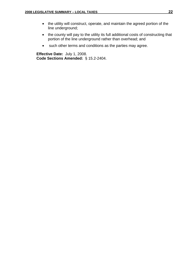- the utility will construct, operate, and maintain the agreed portion of the line underground;
- the county will pay to the utility its full additional costs of constructing that portion of the line underground rather than overhead; and
- such other terms and conditions as the parties may agree.

**Effective Date:** July 1, 2008. **Code Sections Amended:** § 15.2-2404.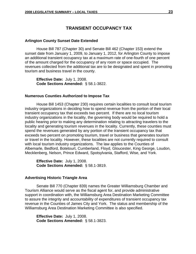## **TRANSIENT OCCUPANCY TAX**

#### **Arlington County Sunset Date Extended**

House Bill 787 (Chapter 30) and Senate Bill 462 (Chapter 153) extend the sunset date from January 1, 2009, to January 1, 2012, for Arlington County to impose an additional transient occupancy tax at a maximum rate of one-fourth of one percent of the amount charged for the occupancy of any room or space occupied. The revenues collected from the additional tax are to be designated and spent in promoting tourism and business travel in the county.

**Effective Date:** July 1, 2008. **Code Sections Amended:** § 58.1-3822.

#### **Numerous Counties Authorized to Impose Tax**

House Bill 1453 (Chapter 230) requires certain localities to consult local tourism industry organizations in deciding how to spend revenue from the portion of their local transient occupancy tax that exceeds two percent. If there are no local tourism industry organizations in the locality, the governing body would be required to hold a public hearing prior to making any determination relating to attracting travelers to the locality and generating tourism revenues in the locality. Currently, these counties must spend the revenues generated by any portion of the transient occupancy tax that exceeds two percent on promoting tourism, travel or business that generates tourism or travel in the locality. However, these localities are not currently required to consult with local tourism industry organizations. The law applies to the Counties of Albemarle, Bedford, Botetourt, Cumberland, Floyd, Gloucester, King George, Loudon, Mecklenberg, Nelson, Prince Edward, Spotsylvania, Stafford, Wise, and York.

**Effective Date:** July 1, 2008. **Code Sections Amended:** § 58.1-3819.

#### **Advertising Historic Triangle Area**

Senate Bill 770 (Chapter 839) names the Greater Williamsburg Chamber and Tourism Alliance would serve as the fiscal agent for, and provide administrative support in coordination with, the Williamsburg Area Destination Marketing Committee to assure the integrity and accountability of expenditures of transient occupancy tax revenue in the Counties of James City and York. The status and membership of the Williamsburg Area Destination Marketing Committee is also specified.

**Effective Date:** July 1, 2008. **Code Sections Amended:** § 58.1-3823.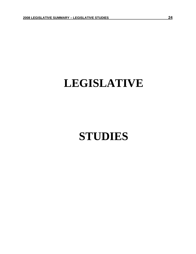## **LEGISLATIVE**

## **STUDIES**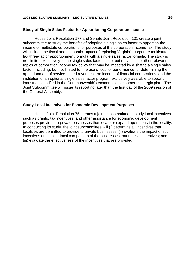#### **Study of Single Sales Factor for Apportioning Corporation Income**

 House Joint Resolution 177 and Senate Joint Resolution 101 create a joint subcommittee to study the benefits of adopting a single sales factor to apportion the income of multistate corporations for purposes of the corporation income tax. The study will include the fiscal and economic impact of replacing Virginia's corporate multistate tax three-factor apportionment formula with a single sales factor formula. The study is not limited exclusively to the single sales factor issue, but may include other relevant topics of corporation income tax policy that may be impacted by a shift to a single sales factor, including, but not limited to, the use of cost of performance for determining the apportionment of service-based revenues, the income of financial corporations, and the institution of an optional single sales factor program exclusively available to specific industries identified in the Commonwealth's economic development strategic plan. The Joint Subcommittee will issue its report no later than the first day of the 2009 session of the General Assembly.

#### **Study Local Incentives for Economic Development Purposes**

House Joint Resolution 75 creates a joint subcommittee to study local incentives such as grants, tax incentives, and other assistance for economic development purposes provided to private businesses that locate or expand operations in the locality. In conducting its study, the joint subcommittee will (i) determine all incentives that localities are permitted to provide to private businesses; (ii) evaluate the impact of such incentives on smaller local competitors of the businesses that receive incentives; and (iii) evaluate the effectiveness of the incentives that are provided.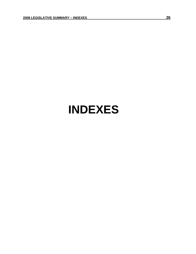## **INDEXES**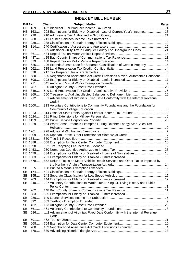## **INDEX BY BILL NUMBER**

|                        | <b>Bill No.</b><br>Chapt. | <b>Subject Matter</b>                                                                | <b>Page</b> |
|------------------------|---------------------------|--------------------------------------------------------------------------------------|-------------|
| HB                     |                           |                                                                                      |             |
| HВ                     |                           | 163 208 Exemptions for Elderly or Disabled - Use of Current Year's Income 18         |             |
| HB                     |                           |                                                                                      |             |
| HB                     |                           |                                                                                      |             |
| HВ                     |                           |                                                                                      |             |
| HB                     |                           | 357 355 Additional Utility Tax In Fauquier County For Underground Lines 21           |             |
| HB<br>HВ               |                           |                                                                                      |             |
| HВ                     |                           |                                                                                      |             |
| HВ                     |                           |                                                                                      |             |
| HВ                     |                           | 625 26 Extends Sunset Date for Separate Classification of Certain Property  15       |             |
| HВ                     |                           |                                                                                      |             |
| HВ                     |                           |                                                                                      |             |
| HВ                     |                           | 680 585 Neighborhood Assistance Act Credit Provisions Moved; Automobile Donations 3  |             |
| HB                     |                           |                                                                                      |             |
| HВ                     |                           |                                                                                      |             |
| HВ                     |                           |                                                                                      |             |
| HB                     |                           |                                                                                      |             |
| HВ                     |                           | 869550 Treasurer to Add Uncollected Balances to Delinquent List 15                   |             |
| HВ                     |                           | 912 1 Advancement of Virginia's Fixed Date Conformity with the Internal Revenue      |             |
|                        |                           | Code3                                                                                |             |
|                        |                           | HB 1000313 Voluntary Contributions to Community Foundations and the Foundation for   |             |
|                        |                           |                                                                                      |             |
|                        |                           | HB 1023 314 Offset of State Debts Against Federal Income Tax Refunds 2               |             |
|                        |                           |                                                                                      |             |
|                        |                           |                                                                                      |             |
|                        |                           | HB 1229 554 WaterSense Products Exempted During October Energy Star Sales Tax        |             |
|                        |                           |                                                                                      |             |
|                        |                           |                                                                                      |             |
|                        |                           |                                                                                      |             |
|                        |                           |                                                                                      |             |
|                        |                           |                                                                                      |             |
|                        |                           |                                                                                      |             |
|                        |                           |                                                                                      |             |
|                        |                           | HB 1479334 Exemptions for Elderly or Disabled - Income of Nonrelatives 18            |             |
|                        |                           |                                                                                      |             |
|                        |                           | HB 1578 652 Refund Taxes on Motor Vehicle Repair Services and Other Taxes Imposed by |             |
|                        |                           |                                                                                      |             |
| <b>SB</b><br><b>SB</b> |                           |                                                                                      |             |
| <b>SB</b>              |                           |                                                                                      |             |
| <b>SB</b>              |                           |                                                                                      |             |
| <b>SB</b>              |                           |                                                                                      |             |
|                        |                           | 240 97 Voluntary Contributions to Martin Luther King, Jr. Living History and Public  |             |
| <b>SB</b>              |                           |                                                                                      |             |
| <b>SB</b>              |                           |                                                                                      |             |
| <b>SB</b>              |                           |                                                                                      |             |
| <b>SB</b>              |                           |                                                                                      |             |
| <b>SB</b>              |                           |                                                                                      |             |
| <b>SB</b>              |                           |                                                                                      |             |
| <b>SB</b>              |                           | 586 2 Advancement of Virginia's Fixed Date Conformity with the Internal Revenue      |             |
|                        |                           | Code3                                                                                |             |
| <b>SB</b>              |                           |                                                                                      |             |
| <b>SB</b>              |                           |                                                                                      |             |
| <b>SB</b>              |                           |                                                                                      |             |
| <b>SB</b>              |                           |                                                                                      |             |
|                        |                           |                                                                                      |             |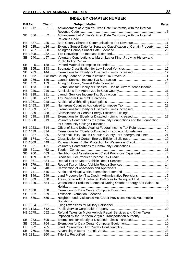## **INDEX BY CHAPTER NUMBER**

|           | <b>Bill No.</b> | Chapt. | <b>Subject Matter</b>                                                                                                                                   | Page |
|-----------|-----------------|--------|---------------------------------------------------------------------------------------------------------------------------------------------------------|------|
| HB        |                 |        | 912 1  Advancement of Virginia's Fixed Date Conformity with the Internal                                                                                |      |
|           |                 |        | Revenue Code                                                                                                                                            |      |
| SВ        |                 |        | 586 2 Advancement of Virginia's Fixed Date Conformity with the Internal                                                                                 |      |
| HВ        |                 |        | 48725Bath County Share of Communications Tax Revenue 11                                                                                                 |      |
| HB.       |                 |        | 625 26 Extends Sunset Date for Separate Classification of Certain Property 15                                                                           |      |
| HB.       |                 |        |                                                                                                                                                         |      |
|           |                 |        |                                                                                                                                                         |      |
| SВ        |                 |        | 24097 Voluntary Contributions to Martin Luther King, Jr. Living History and                                                                             |      |
|           |                 |        |                                                                                                                                                         |      |
| <b>SB</b> |                 |        |                                                                                                                                                         |      |
| SВ        |                 |        |                                                                                                                                                         |      |
| <b>SB</b> |                 |        | 203 144 Exemptions for Elderly or Disabled - Limits increased  17                                                                                       |      |
| <b>SB</b> |                 |        |                                                                                                                                                         |      |
| <b>SB</b> |                 |        |                                                                                                                                                         |      |
| <b>SB</b> |                 |        |                                                                                                                                                         |      |
| HВ        |                 |        | 163 208  Exemptions for Elderly or Disabled - Use of Current Year's Income  18                                                                          |      |
| HВ        |                 |        |                                                                                                                                                         |      |
| HВ        |                 |        |                                                                                                                                                         |      |
| HВ        |                 |        |                                                                                                                                                         |      |
|           |                 |        |                                                                                                                                                         |      |
|           |                 |        |                                                                                                                                                         |      |
|           |                 |        | HB 1503231  Exemptions for Elderly or Disabled - Limits increased  18                                                                                   |      |
| HB.       |                 |        |                                                                                                                                                         |      |
| HB.       |                 |        | 698298 Exemptions for Elderly or Disabled - Limits increased  17                                                                                        |      |
|           |                 |        | HB 1000313 Voluntary Contributions to Community Foundations and the Foundation                                                                          |      |
|           |                 |        |                                                                                                                                                         |      |
|           |                 |        |                                                                                                                                                         |      |
|           |                 |        | HB 1479334 Exemptions for Elderly or Disabled - Income of Nonrelatives  18<br>357355Additional Utility Tax In Fauquier County For Underground Lines  21 |      |
| HB.<br>SB |                 |        |                                                                                                                                                         |      |
|           |                 |        |                                                                                                                                                         |      |
| SВ        |                 |        |                                                                                                                                                         |      |
| SВ        |                 |        |                                                                                                                                                         |      |
| <b>SB</b> |                 |        | 700 463Neighborhood Assistance Act Credit Provisions Expanded 4                                                                                         |      |
| HВ        |                 |        |                                                                                                                                                         |      |
| HВ        |                 |        |                                                                                                                                                         |      |
| HB        |                 |        |                                                                                                                                                         |      |
| HВ        |                 |        |                                                                                                                                                         |      |
| HВ        |                 |        |                                                                                                                                                         |      |
| HB        |                 |        | 849549Land Preservation Tax Credit - Administrative Provisions 5                                                                                        |      |
| HВ        |                 |        | 869550Treasurer to Add Uncollected Balances to Delinquent List  15                                                                                      |      |
|           |                 |        | HB 1229554WaterSense Products Exempted During October Energy Star Sales Tax                                                                             |      |
|           |                 |        |                                                                                                                                                         |      |
|           |                 |        |                                                                                                                                                         |      |
| SВ        |                 |        |                                                                                                                                                         |      |
| HB.       |                 |        | 680585Neighborhood Assistance Act Credit Provisions Moved; Automobile                                                                                   |      |
|           |                 |        |                                                                                                                                                         |      |
|           |                 |        |                                                                                                                                                         |      |
|           |                 |        |                                                                                                                                                         |      |
|           |                 |        | HB 1578 652  Refund Taxes on Motor Vehicle Repair Services and Other Taxes                                                                              |      |
|           |                 |        | Imposed by the Northern Virginia Transportation Authority 14                                                                                            |      |
| <b>SB</b> |                 |        | 283695Exemptions for Elderly or Disabled - Limits increased  18                                                                                         |      |
| <b>SB</b> |                 |        |                                                                                                                                                         |      |
| HВ        |                 |        |                                                                                                                                                         |      |
| <b>SB</b> |                 |        |                                                                                                                                                         |      |
|           |                 |        |                                                                                                                                                         |      |